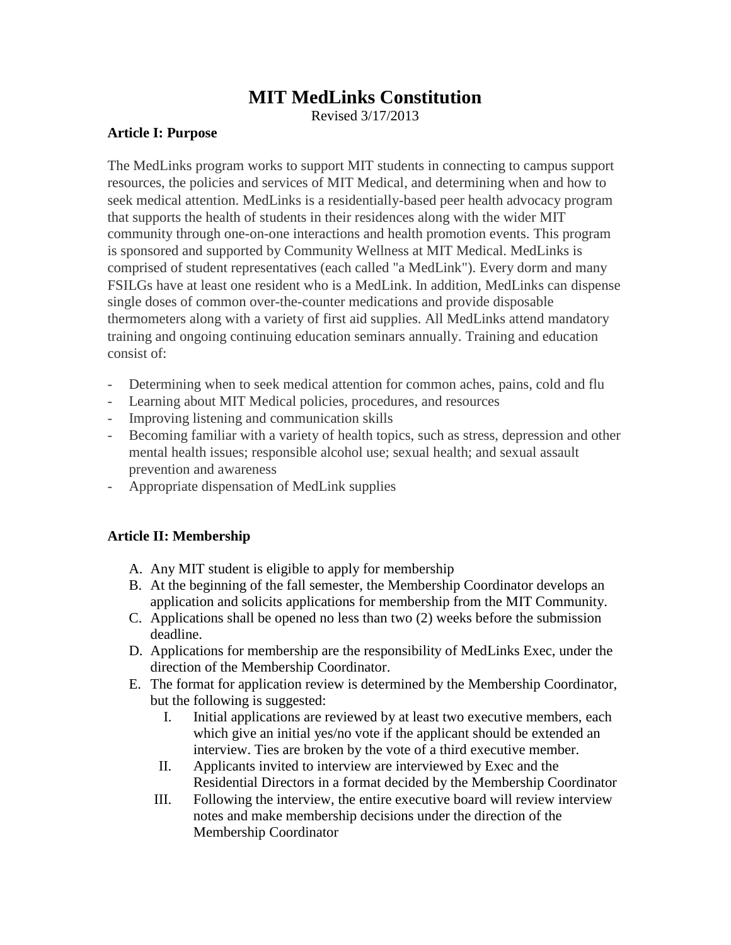# **MIT MedLinks Constitution**

Revised 3/17/2013

#### **Article I: Purpose**

The MedLinks program works to support MIT students in connecting to campus support resources, the policies and services of MIT Medical, and determining when and how to seek medical attention. MedLinks is a residentially-based peer health advocacy program that supports the health of students in their residences along with the wider MIT community through one-on-one interactions and health promotion events. This program is sponsored and supported by Community Wellness at MIT Medical. MedLinks is comprised of student representatives (each called "a MedLink"). Every dorm and many FSILGs have at least one resident who is a MedLink. In addition, MedLinks can dispense single doses of common over-the-counter medications and provide disposable thermometers along with a variety of first aid supplies. All MedLinks attend mandatory training and ongoing continuing education seminars annually. Training and education consist of:

- Determining when to seek medical attention for common aches, pains, cold and flu
- Learning about MIT Medical policies, procedures, and resources
- Improving listening and communication skills
- Becoming familiar with a variety of health topics, such as stress, depression and other mental health issues; responsible alcohol use; sexual health; and sexual assault prevention and awareness
- Appropriate dispensation of MedLink supplies

## **Article II: Membership**

- A. Any MIT student is eligible to apply for membership
- B. At the beginning of the fall semester, the Membership Coordinator develops an application and solicits applications for membership from the MIT Community.
- C. Applications shall be opened no less than two (2) weeks before the submission deadline.
- D. Applications for membership are the responsibility of MedLinks Exec, under the direction of the Membership Coordinator.
- E. The format for application review is determined by the Membership Coordinator, but the following is suggested:
	- I. Initial applications are reviewed by at least two executive members, each which give an initial yes/no vote if the applicant should be extended an interview. Ties are broken by the vote of a third executive member.
	- II. Applicants invited to interview are interviewed by Exec and the Residential Directors in a format decided by the Membership Coordinator
	- III. Following the interview, the entire executive board will review interview notes and make membership decisions under the direction of the Membership Coordinator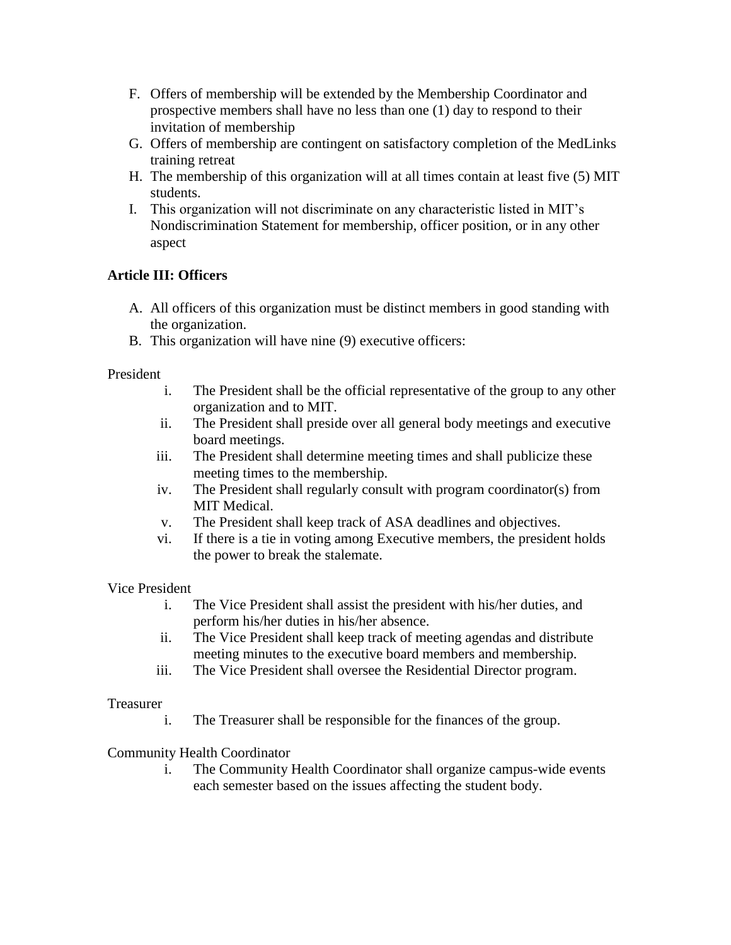- F. Offers of membership will be extended by the Membership Coordinator and prospective members shall have no less than one (1) day to respond to their invitation of membership
- G. Offers of membership are contingent on satisfactory completion of the MedLinks training retreat
- H. The membership of this organization will at all times contain at least five (5) MIT students.
- I. This organization will not discriminate on any characteristic listed in MIT's Nondiscrimination Statement for membership, officer position, or in any other aspect

## **Article III: Officers**

- A. All officers of this organization must be distinct members in good standing with the organization.
- B. This organization will have nine (9) executive officers:

## President

- i. The President shall be the official representative of the group to any other organization and to MIT.
- ii. The President shall preside over all general body meetings and executive board meetings.
- iii. The President shall determine meeting times and shall publicize these meeting times to the membership.
- iv. The President shall regularly consult with program coordinator(s) from MIT Medical.
- v. The President shall keep track of ASA deadlines and objectives.
- vi. If there is a tie in voting among Executive members, the president holds the power to break the stalemate.

## Vice President

- i. The Vice President shall assist the president with his/her duties, and perform his/her duties in his/her absence.
- ii. The Vice President shall keep track of meeting agendas and distribute meeting minutes to the executive board members and membership.
- iii. The Vice President shall oversee the Residential Director program.

#### Treasurer

i. The Treasurer shall be responsible for the finances of the group.

## Community Health Coordinator

i. The Community Health Coordinator shall organize campus-wide events each semester based on the issues affecting the student body.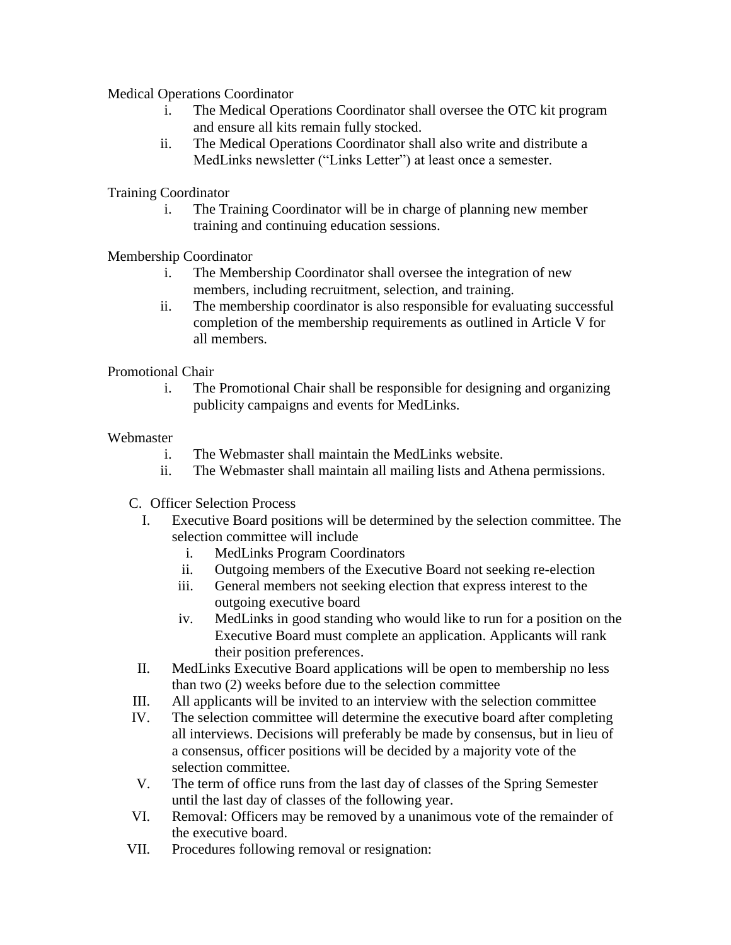Medical Operations Coordinator

- i. The Medical Operations Coordinator shall oversee the OTC kit program and ensure all kits remain fully stocked.
- ii. The Medical Operations Coordinator shall also write and distribute a MedLinks newsletter ("Links Letter") at least once a semester.

Training Coordinator

i. The Training Coordinator will be in charge of planning new member training and continuing education sessions.

Membership Coordinator

- i. The Membership Coordinator shall oversee the integration of new members, including recruitment, selection, and training.
- ii. The membership coordinator is also responsible for evaluating successful completion of the membership requirements as outlined in Article V for all members.

#### Promotional Chair

i. The Promotional Chair shall be responsible for designing and organizing publicity campaigns and events for MedLinks.

#### **Webmaster**

- i. The Webmaster shall maintain the MedLinks website.
- ii. The Webmaster shall maintain all mailing lists and Athena permissions.
- C. Officer Selection Process
	- I. Executive Board positions will be determined by the selection committee. The selection committee will include
		- i. MedLinks Program Coordinators
		- ii. Outgoing members of the Executive Board not seeking re-election
		- iii. General members not seeking election that express interest to the outgoing executive board
		- iv. MedLinks in good standing who would like to run for a position on the Executive Board must complete an application. Applicants will rank their position preferences.
- II. MedLinks Executive Board applications will be open to membership no less than two (2) weeks before due to the selection committee
- III. All applicants will be invited to an interview with the selection committee
- IV. The selection committee will determine the executive board after completing all interviews. Decisions will preferably be made by consensus, but in lieu of a consensus, officer positions will be decided by a majority vote of the selection committee.
- V. The term of office runs from the last day of classes of the Spring Semester until the last day of classes of the following year.
- VI. Removal: Officers may be removed by a unanimous vote of the remainder of the executive board.
- VII. Procedures following removal or resignation: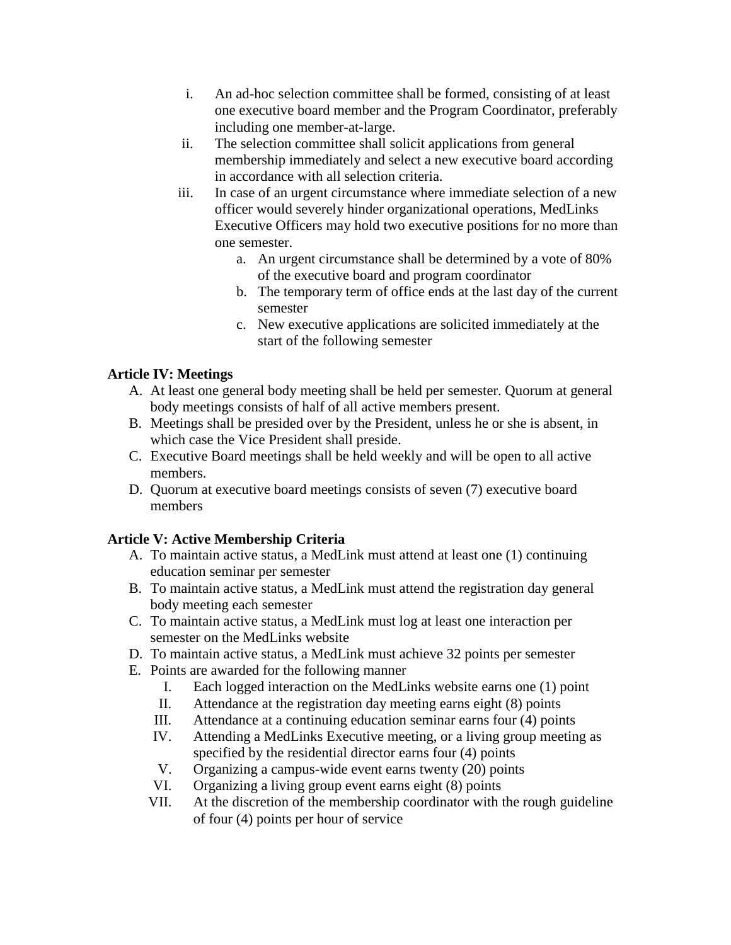- i. An ad-hoc selection committee shall be formed, consisting of at least one executive board member and the Program Coordinator, preferably including one member-at-large.
- ii. The selection committee shall solicit applications from general membership immediately and select a new executive board according in accordance with all selection criteria.
- iii. In case of an urgent circumstance where immediate selection of a new officer would severely hinder organizational operations, MedLinks Executive Officers may hold two executive positions for no more than one semester.
	- a. An urgent circumstance shall be determined by a vote of 80% of the executive board and program coordinator
	- b. The temporary term of office ends at the last day of the current semester
	- c. New executive applications are solicited immediately at the start of the following semester

# **Article IV: Meetings**

- A. At least one general body meeting shall be held per semester. Quorum at general body meetings consists of half of all active members present.
- B. Meetings shall be presided over by the President, unless he or she is absent, in which case the Vice President shall preside.
- C. Executive Board meetings shall be held weekly and will be open to all active members.
- D. Quorum at executive board meetings consists of seven (7) executive board members

# **Article V: Active Membership Criteria**

- A. To maintain active status, a MedLink must attend at least one (1) continuing education seminar per semester
- B. To maintain active status, a MedLink must attend the registration day general body meeting each semester
- C. To maintain active status, a MedLink must log at least one interaction per semester on the MedLinks website
- D. To maintain active status, a MedLink must achieve 32 points per semester
- E. Points are awarded for the following manner
	- I. Each logged interaction on the MedLinks website earns one (1) point
	- II. Attendance at the registration day meeting earns eight (8) points
	- III. Attendance at a continuing education seminar earns four (4) points
	- IV. Attending a MedLinks Executive meeting, or a living group meeting as specified by the residential director earns four (4) points
	- V. Organizing a campus-wide event earns twenty (20) points
	- VI. Organizing a living group event earns eight (8) points
	- VII. At the discretion of the membership coordinator with the rough guideline of four (4) points per hour of service